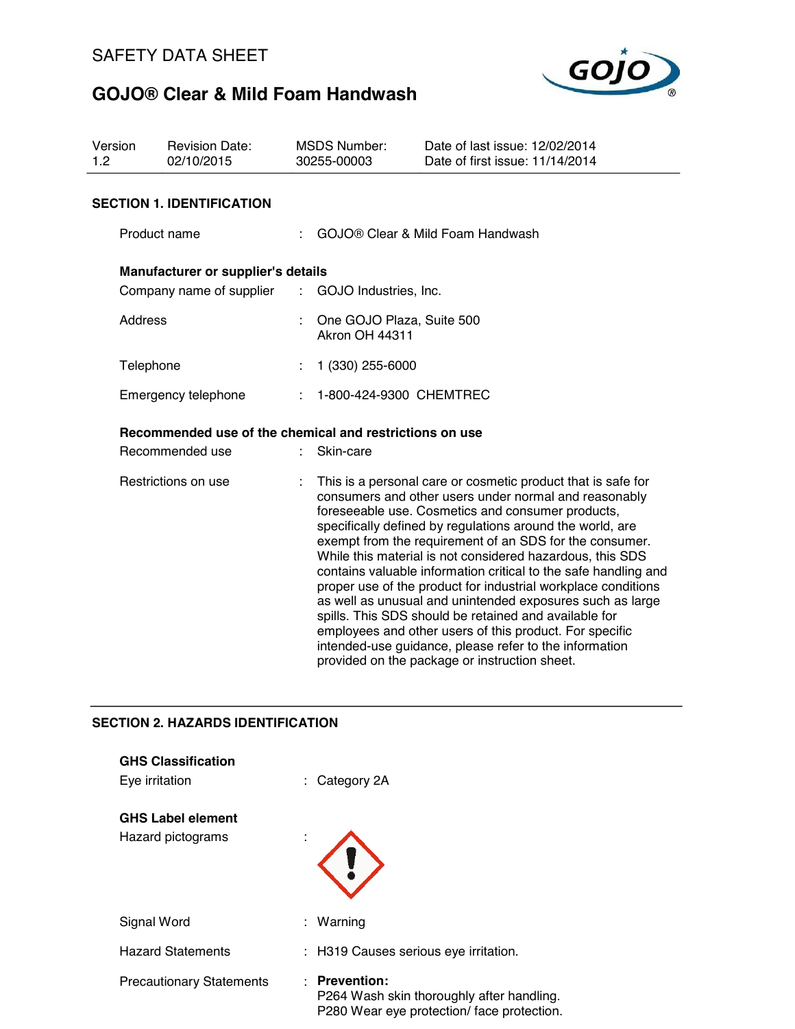

| Version<br>1.2      |              | <b>Revision Date:</b><br>02/10/2015                     |                                                                                                                                                                                                                                                                                                                                                                                                                                                                                                                                                                                                                                                                                                                                                                                                 | <b>MSDS Number:</b><br>30255-00003                   | Date of last issue: 12/02/2014<br>Date of first issue: 11/14/2014 |  |  |
|---------------------|--------------|---------------------------------------------------------|-------------------------------------------------------------------------------------------------------------------------------------------------------------------------------------------------------------------------------------------------------------------------------------------------------------------------------------------------------------------------------------------------------------------------------------------------------------------------------------------------------------------------------------------------------------------------------------------------------------------------------------------------------------------------------------------------------------------------------------------------------------------------------------------------|------------------------------------------------------|-------------------------------------------------------------------|--|--|
|                     |              | <b>SECTION 1. IDENTIFICATION</b>                        |                                                                                                                                                                                                                                                                                                                                                                                                                                                                                                                                                                                                                                                                                                                                                                                                 |                                                      |                                                                   |  |  |
|                     | Product name |                                                         | GOJO® Clear & Mild Foam Handwash                                                                                                                                                                                                                                                                                                                                                                                                                                                                                                                                                                                                                                                                                                                                                                |                                                      |                                                                   |  |  |
|                     |              | Manufacturer or supplier's details                      |                                                                                                                                                                                                                                                                                                                                                                                                                                                                                                                                                                                                                                                                                                                                                                                                 |                                                      |                                                                   |  |  |
|                     |              | Company name of supplier                                |                                                                                                                                                                                                                                                                                                                                                                                                                                                                                                                                                                                                                                                                                                                                                                                                 | $\mathcal{L}^{\mathcal{L}}$<br>GOJO Industries, Inc. |                                                                   |  |  |
|                     | Address      |                                                         |                                                                                                                                                                                                                                                                                                                                                                                                                                                                                                                                                                                                                                                                                                                                                                                                 | One GOJO Plaza, Suite 500<br>Akron OH 44311          |                                                                   |  |  |
|                     | Telephone    |                                                         |                                                                                                                                                                                                                                                                                                                                                                                                                                                                                                                                                                                                                                                                                                                                                                                                 | 1 (330) 255-6000                                     |                                                                   |  |  |
|                     |              | Emergency telephone                                     |                                                                                                                                                                                                                                                                                                                                                                                                                                                                                                                                                                                                                                                                                                                                                                                                 | 1-800-424-9300 CHEMTREC                              |                                                                   |  |  |
|                     |              | Recommended use of the chemical and restrictions on use |                                                                                                                                                                                                                                                                                                                                                                                                                                                                                                                                                                                                                                                                                                                                                                                                 |                                                      |                                                                   |  |  |
| Recommended use     |              |                                                         | Skin-care                                                                                                                                                                                                                                                                                                                                                                                                                                                                                                                                                                                                                                                                                                                                                                                       |                                                      |                                                                   |  |  |
| Restrictions on use |              |                                                         | This is a personal care or cosmetic product that is safe for<br>consumers and other users under normal and reasonably<br>foreseeable use. Cosmetics and consumer products,<br>specifically defined by regulations around the world, are<br>exempt from the requirement of an SDS for the consumer.<br>While this material is not considered hazardous, this SDS<br>contains valuable information critical to the safe handling and<br>proper use of the product for industrial workplace conditions<br>as well as unusual and unintended exposures such as large<br>spills. This SDS should be retained and available for<br>employees and other users of this product. For specific<br>intended-use guidance, please refer to the information<br>provided on the package or instruction sheet. |                                                      |                                                                   |  |  |
|                     |              | <b>SECTION 2. HAZARDS IDENTIFICATION</b>                |                                                                                                                                                                                                                                                                                                                                                                                                                                                                                                                                                                                                                                                                                                                                                                                                 |                                                      |                                                                   |  |  |

| <b>GHS Classification</b><br>Eye irritation   | $\therefore$ Category 2A                                                                                          |
|-----------------------------------------------|-------------------------------------------------------------------------------------------------------------------|
| <b>GHS Label element</b><br>Hazard pictograms |                                                                                                                   |
| Signal Word                                   | : Warning                                                                                                         |
| <b>Hazard Statements</b>                      | : H319 Causes serious eye irritation.                                                                             |
| <b>Precautionary Statements</b>               | <b>Prevention:</b><br>÷<br>P264 Wash skin thoroughly after handling.<br>P280 Wear eye protection/face protection. |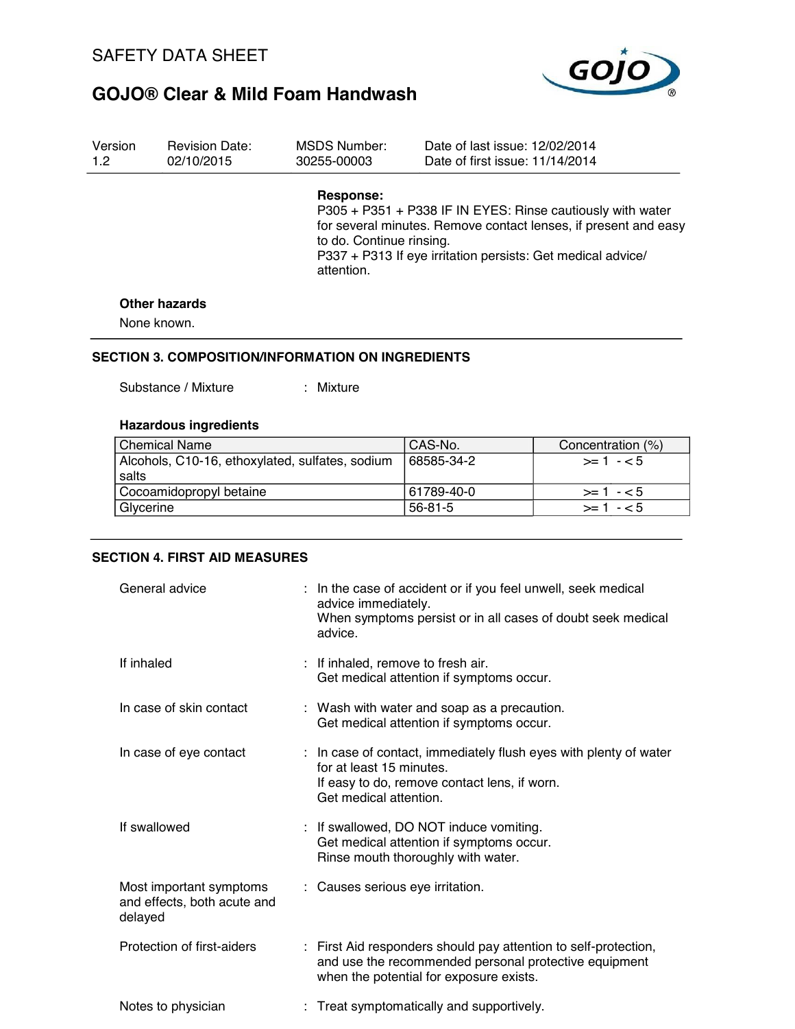

| Version | <b>Revision Date:</b> | MSDS Number:                                        | Date of last issue: 12/02/2014                                                                                                                                                               |
|---------|-----------------------|-----------------------------------------------------|----------------------------------------------------------------------------------------------------------------------------------------------------------------------------------------------|
| 1.2     | 02/10/2015            | 30255-00003                                         | Date of first issue: 11/14/2014                                                                                                                                                              |
|         |                       | Response:<br>to do. Continue rinsing.<br>attention. | P305 + P351 + P338 IF IN EYES: Rinse cautiously with water<br>for several minutes. Remove contact lenses, if present and easy<br>P337 + P313 If eye irritation persists: Get medical advice/ |

#### **Other hazards**

None known.

#### **SECTION 3. COMPOSITION/INFORMATION ON INGREDIENTS**

Substance / Mixture : Mixture :

### **Hazardous ingredients**

| <b>Chemical Name</b>                            | CAS-No.       | Concentration (%) |
|-------------------------------------------------|---------------|-------------------|
| Alcohols, C10-16, ethoxylated, sulfates, sodium | 68585-34-2    | $>1 - 5$          |
| salts                                           |               |                   |
| Cocoamidopropyl betaine                         | 61789-40-0    | $>1 - 5$          |
| Glycerine                                       | $56 - 81 - 5$ | $>= 1 - 5$        |

### **SECTION 4. FIRST AID MEASURES**

| General advice                                                    | : In the case of accident or if you feel unwell, seek medical<br>advice immediately.<br>When symptoms persist or in all cases of doubt seek medical<br>advice.          |
|-------------------------------------------------------------------|-------------------------------------------------------------------------------------------------------------------------------------------------------------------------|
| If inhaled                                                        | : If inhaled, remove to fresh air.<br>Get medical attention if symptoms occur.                                                                                          |
| In case of skin contact                                           | : Wash with water and soap as a precaution.<br>Get medical attention if symptoms occur.                                                                                 |
| In case of eye contact                                            | : In case of contact, immediately flush eyes with plenty of water<br>for at least 15 minutes.<br>If easy to do, remove contact lens, if worn.<br>Get medical attention. |
| If swallowed                                                      | : If swallowed, DO NOT induce vomiting.<br>Get medical attention if symptoms occur.<br>Rinse mouth thoroughly with water.                                               |
| Most important symptoms<br>and effects, both acute and<br>delayed | : Causes serious eye irritation.                                                                                                                                        |
| Protection of first-aiders                                        | : First Aid responders should pay attention to self-protection,<br>and use the recommended personal protective equipment<br>when the potential for exposure exists.     |
| Notes to physician                                                | : Treat symptomatically and supportively.                                                                                                                               |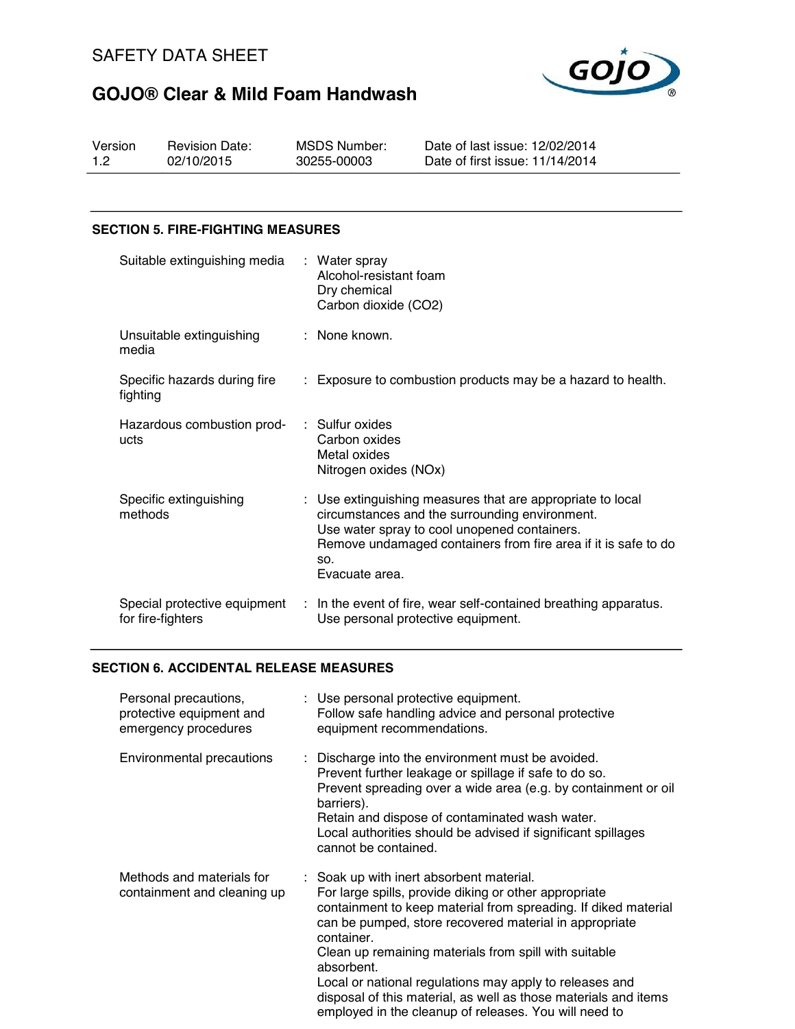

| Version | <b>Revision Date:</b> | MSDS Number: | Date of last issue: 12/02/2014  |
|---------|-----------------------|--------------|---------------------------------|
| 1.2     | 02/10/2015            | 30255-00003  | Date of first issue: 11/14/2014 |

### **SECTION 5. FIRE-FIGHTING MEASURES**

| Suitable extinguishing media                      | : Water spray<br>Alcohol-resistant foam<br>Dry chemical<br>Carbon dioxide (CO2)                                                                                                                                                                         |
|---------------------------------------------------|---------------------------------------------------------------------------------------------------------------------------------------------------------------------------------------------------------------------------------------------------------|
| Unsuitable extinguishing<br>media                 | : None known.                                                                                                                                                                                                                                           |
| Specific hazards during fire<br>fighting          | : Exposure to combustion products may be a hazard to health.                                                                                                                                                                                            |
| Hazardous combustion prod-<br>ucts                | $\therefore$ Sulfur oxides<br>Carbon oxides<br>Metal oxides<br>Nitrogen oxides (NOx)                                                                                                                                                                    |
| Specific extinguishing<br>methods                 | : Use extinguishing measures that are appropriate to local<br>circumstances and the surrounding environment.<br>Use water spray to cool unopened containers.<br>Remove undamaged containers from fire area if it is safe to do<br>SO.<br>Evacuate area. |
| Special protective equipment<br>for fire-fighters | : In the event of fire, wear self-contained breathing apparatus.<br>Use personal protective equipment.                                                                                                                                                  |

### **SECTION 6. ACCIDENTAL RELEASE MEASURES**

| Personal precautions,<br>protective equipment and<br>emergency procedures |  | : Use personal protective equipment.<br>Follow safe handling advice and personal protective<br>equipment recommendations.                                                                                                                                                                                                                                                                                                                                                                                 |
|---------------------------------------------------------------------------|--|-----------------------------------------------------------------------------------------------------------------------------------------------------------------------------------------------------------------------------------------------------------------------------------------------------------------------------------------------------------------------------------------------------------------------------------------------------------------------------------------------------------|
| Environmental precautions                                                 |  | : Discharge into the environment must be avoided.<br>Prevent further leakage or spillage if safe to do so.<br>Prevent spreading over a wide area (e.g. by containment or oil<br>barriers).<br>Retain and dispose of contaminated wash water.<br>Local authorities should be advised if significant spillages<br>cannot be contained.                                                                                                                                                                      |
| Methods and materials for<br>containment and cleaning up                  |  | : Soak up with inert absorbent material.<br>For large spills, provide diking or other appropriate<br>containment to keep material from spreading. If diked material<br>can be pumped, store recovered material in appropriate<br>container.<br>Clean up remaining materials from spill with suitable<br>absorbent.<br>Local or national regulations may apply to releases and<br>disposal of this material, as well as those materials and items<br>employed in the cleanup of releases. You will need to |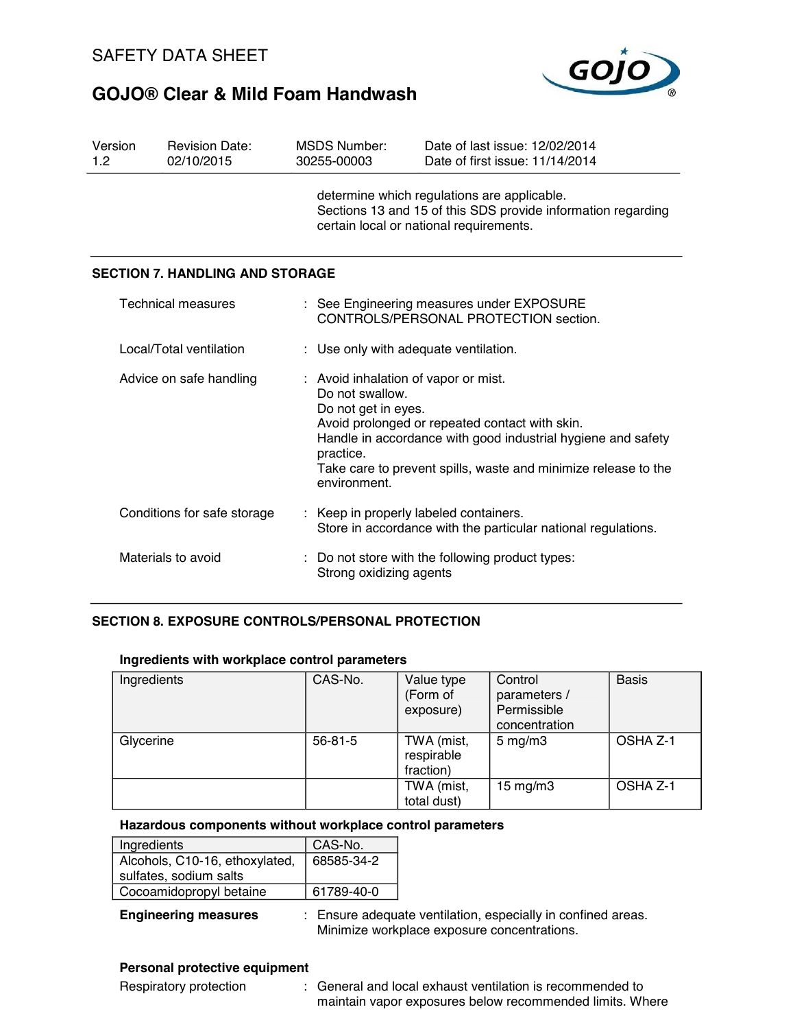

| Version<br>1.2                                                        | <b>Revision Date:</b><br>02/10/2015    |                                                                                                                                                        | <b>MSDS Number:</b><br>30255-00003                                                                                                                                                                                                                                                              | Date of last issue: 12/02/2014<br>Date of first issue: 11/14/2014 |  |
|-----------------------------------------------------------------------|----------------------------------------|--------------------------------------------------------------------------------------------------------------------------------------------------------|-------------------------------------------------------------------------------------------------------------------------------------------------------------------------------------------------------------------------------------------------------------------------------------------------|-------------------------------------------------------------------|--|
|                                                                       |                                        | determine which regulations are applicable.<br>Sections 13 and 15 of this SDS provide information regarding<br>certain local or national requirements. |                                                                                                                                                                                                                                                                                                 |                                                                   |  |
|                                                                       | <b>SECTION 7. HANDLING AND STORAGE</b> |                                                                                                                                                        |                                                                                                                                                                                                                                                                                                 |                                                                   |  |
|                                                                       | <b>Technical measures</b>              |                                                                                                                                                        | : See Engineering measures under EXPOSURE<br>CONTROLS/PERSONAL PROTECTION section.                                                                                                                                                                                                              |                                                                   |  |
|                                                                       | Local/Total ventilation                |                                                                                                                                                        | : Use only with adequate ventilation.                                                                                                                                                                                                                                                           |                                                                   |  |
| Advice on safe handling                                               |                                        |                                                                                                                                                        | : Avoid inhalation of vapor or mist.<br>Do not swallow.<br>Do not get in eyes.<br>Avoid prolonged or repeated contact with skin.<br>Handle in accordance with good industrial hygiene and safety<br>practice.<br>Take care to prevent spills, waste and minimize release to the<br>environment. |                                                                   |  |
| Conditions for safe storage<br>: Keep in properly labeled containers. |                                        | Store in accordance with the particular national regulations.                                                                                          |                                                                                                                                                                                                                                                                                                 |                                                                   |  |
| Materials to avoid                                                    |                                        |                                                                                                                                                        | : Do not store with the following product types:<br>Strong oxidizing agents                                                                                                                                                                                                                     |                                                                   |  |

### **SECTION 8. EXPOSURE CONTROLS/PERSONAL PROTECTION**

#### **Ingredients with workplace control parameters**

| Ingredients | CAS-No.       | Value type<br>(Form of<br>exposure)   | Control<br>parameters /<br>Permissible<br>concentration | <b>Basis</b> |
|-------------|---------------|---------------------------------------|---------------------------------------------------------|--------------|
| Glycerine   | $56 - 81 - 5$ | TWA (mist,<br>respirable<br>fraction) | $5 \text{ mg/m}$                                        | OSHA Z-1     |
|             |               | TWA (mist,<br>total dust)             | $15 \text{ mg/m}$                                       | OSHA Z-1     |

#### **Hazardous components without workplace control parameters**

| Ingredients                    | CAS-No.    |
|--------------------------------|------------|
| Alcohols, C10-16, ethoxylated, | 68585-34-2 |
| sulfates, sodium salts         |            |
| Cocoamidopropyl betaine        | 61789-40-0 |

**Engineering measures** : Ensure adequate ventilation, especially in confined areas. Minimize workplace exposure concentrations.

### **Personal protective equipment**

Respiratory protection : General and local exhaust ventilation is recommended to maintain vapor exposures below recommended limits. Where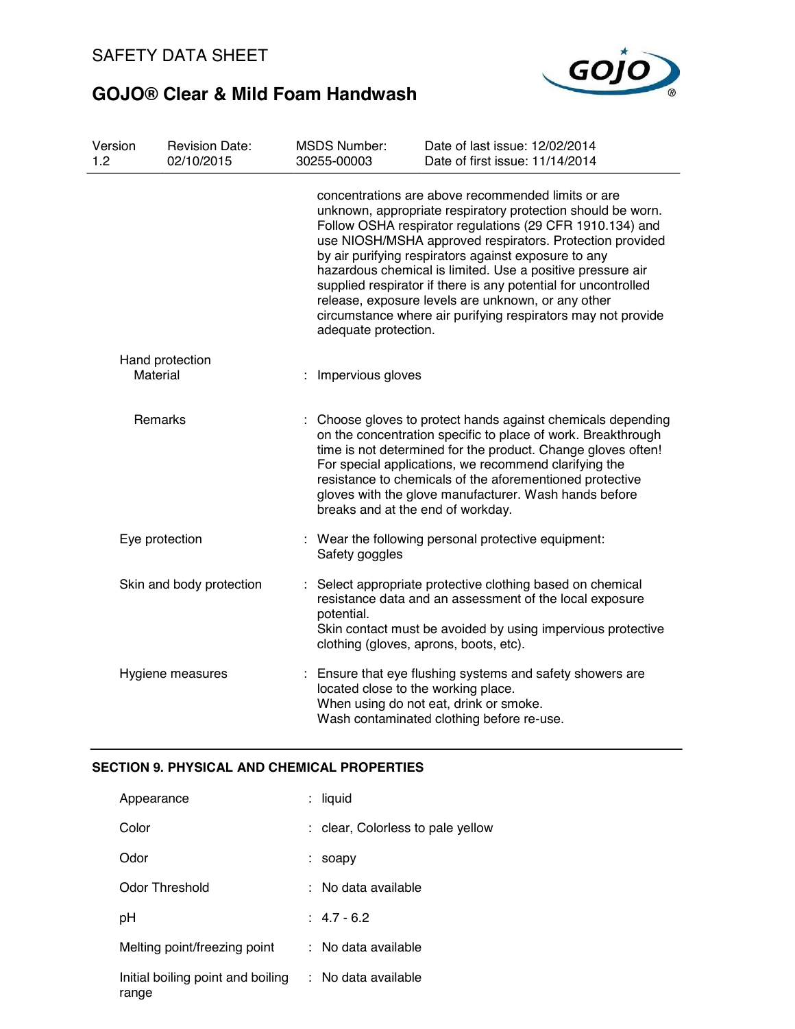

| Version<br>1.2              | <b>Revision Date:</b><br>02/10/2015 | <b>MSDS Number:</b><br>30255-00003 | Date of last issue: 12/02/2014<br>Date of first issue: 11/14/2014                                                                                                                                                                                                                                                                                                                                                                                                                                                                                       |  |
|-----------------------------|-------------------------------------|------------------------------------|---------------------------------------------------------------------------------------------------------------------------------------------------------------------------------------------------------------------------------------------------------------------------------------------------------------------------------------------------------------------------------------------------------------------------------------------------------------------------------------------------------------------------------------------------------|--|
|                             |                                     | adequate protection.               | concentrations are above recommended limits or are<br>unknown, appropriate respiratory protection should be worn.<br>Follow OSHA respirator regulations (29 CFR 1910.134) and<br>use NIOSH/MSHA approved respirators. Protection provided<br>by air purifying respirators against exposure to any<br>hazardous chemical is limited. Use a positive pressure air<br>supplied respirator if there is any potential for uncontrolled<br>release, exposure levels are unknown, or any other<br>circumstance where air purifying respirators may not provide |  |
| Hand protection<br>Material |                                     | : Impervious gloves                |                                                                                                                                                                                                                                                                                                                                                                                                                                                                                                                                                         |  |
| Remarks                     |                                     |                                    | Choose gloves to protect hands against chemicals depending<br>on the concentration specific to place of work. Breakthrough<br>time is not determined for the product. Change gloves often!<br>For special applications, we recommend clarifying the<br>resistance to chemicals of the aforementioned protective<br>gloves with the glove manufacturer. Wash hands before<br>breaks and at the end of workday.                                                                                                                                           |  |
| Eye protection              |                                     | Safety goggles                     | : Wear the following personal protective equipment:                                                                                                                                                                                                                                                                                                                                                                                                                                                                                                     |  |
|                             | Skin and body protection            | potential.                         | : Select appropriate protective clothing based on chemical<br>resistance data and an assessment of the local exposure<br>Skin contact must be avoided by using impervious protective<br>clothing (gloves, aprons, boots, etc).                                                                                                                                                                                                                                                                                                                          |  |
|                             | Hygiene measures                    |                                    | : Ensure that eye flushing systems and safety showers are<br>located close to the working place.<br>When using do not eat, drink or smoke.<br>Wash contaminated clothing before re-use.                                                                                                                                                                                                                                                                                                                                                                 |  |

### **SECTION 9. PHYSICAL AND CHEMICAL PROPERTIES**

| Appearance                                 | $:$ liquid                        |
|--------------------------------------------|-----------------------------------|
| Color                                      | : clear, Colorless to pale yellow |
| Odor                                       | soapy                             |
| Odor Threshold                             | : No data available               |
| рH                                         | $: 4.7 - 6.2$                     |
| Melting point/freezing point               | $:$ No data available             |
| Initial boiling point and boiling<br>range | : No data available               |
|                                            |                                   |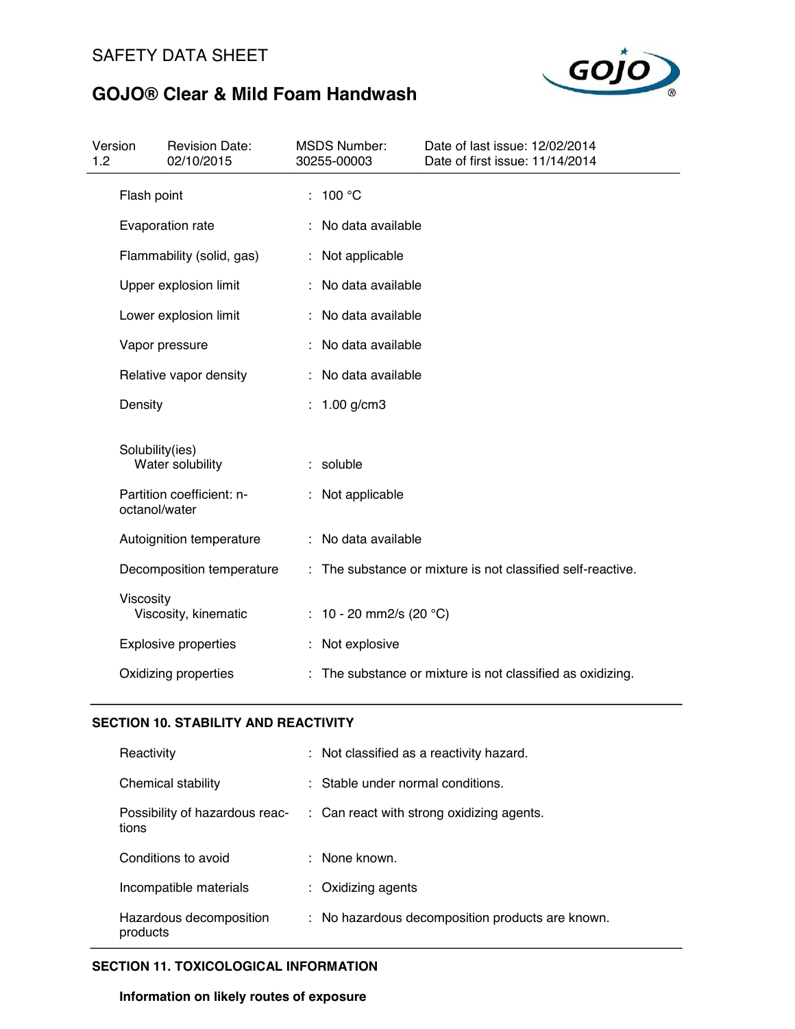

| Version<br>1.2 |                 | <b>Revision Date:</b><br>02/10/2015 | <b>MSDS Number:</b><br>30255-00003 | Date of last issue: 12/02/2014<br>Date of first issue: 11/14/2014 |
|----------------|-----------------|-------------------------------------|------------------------------------|-------------------------------------------------------------------|
|                | Flash point     |                                     | 100 °C                             |                                                                   |
|                |                 | Evaporation rate                    | No data available                  |                                                                   |
|                |                 | Flammability (solid, gas)           | Not applicable                     |                                                                   |
|                |                 | Upper explosion limit               | No data available                  |                                                                   |
|                |                 | Lower explosion limit               | No data available                  |                                                                   |
|                |                 | Vapor pressure                      | No data available                  |                                                                   |
|                |                 | Relative vapor density              | No data available                  |                                                                   |
|                | Density         |                                     | $1.00$ g/cm3                       |                                                                   |
|                | Solubility(ies) | Water solubility                    | soluble                            |                                                                   |
|                | octanol/water   | Partition coefficient: n-           | Not applicable                     |                                                                   |
|                |                 | Autoignition temperature            | : No data available                |                                                                   |
|                |                 | Decomposition temperature           |                                    | : The substance or mixture is not classified self-reactive.       |
|                | Viscosity       | Viscosity, kinematic                | : 10 - 20 mm2/s (20 $^{\circ}$ C)  |                                                                   |
|                |                 | <b>Explosive properties</b>         | Not explosive                      |                                                                   |
|                |                 | Oxidizing properties                |                                    | The substance or mixture is not classified as oxidizing.          |

### **SECTION 10. STABILITY AND REACTIVITY**

| Reactivity                              | : Not classified as a reactivity hazard.             |
|-----------------------------------------|------------------------------------------------------|
| Chemical stability                      | : Stable under normal conditions.                    |
| Possibility of hazardous reac-<br>tions | $\therefore$ Can react with strong oxidizing agents. |
| Conditions to avoid                     | $\therefore$ None known.                             |
| Incompatible materials                  | $:$ Oxidizing agents                                 |
| Hazardous decomposition<br>products     | : No hazardous decomposition products are known.     |

### **SECTION 11. TOXICOLOGICAL INFORMATION**

**Information on likely routes of exposure**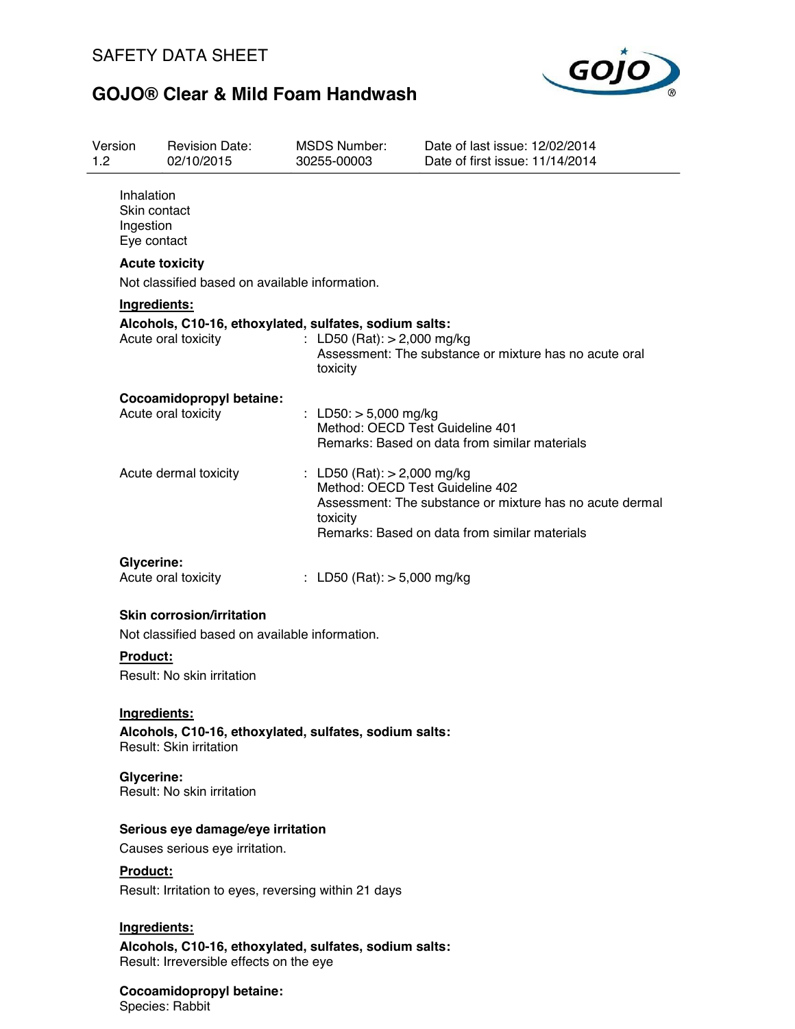

| Version<br>1.2 |                                                        | <b>Revision Date:</b><br>02/10/2015                                                               | <b>MSDS Number:</b><br>30255-00003 |                               | Date of last issue: 12/02/2014<br>Date of first issue: 11/14/2014                                                                            |
|----------------|--------------------------------------------------------|---------------------------------------------------------------------------------------------------|------------------------------------|-------------------------------|----------------------------------------------------------------------------------------------------------------------------------------------|
|                | Inhalation<br>Skin contact<br>Ingestion<br>Eye contact |                                                                                                   |                                    |                               |                                                                                                                                              |
|                |                                                        | <b>Acute toxicity</b>                                                                             |                                    |                               |                                                                                                                                              |
|                |                                                        | Not classified based on available information.                                                    |                                    |                               |                                                                                                                                              |
|                | Ingredients:                                           |                                                                                                   |                                    |                               |                                                                                                                                              |
|                |                                                        | Alcohols, C10-16, ethoxylated, sulfates, sodium salts:<br>Acute oral toxicity                     | toxicity                           | : LD50 (Rat): $> 2,000$ mg/kg | Assessment: The substance or mixture has no acute oral                                                                                       |
|                |                                                        | Cocoamidopropyl betaine:<br>Acute oral toxicity                                                   |                                    | : LD50: $> 5,000$ mg/kg       | Method: OECD Test Guideline 401<br>Remarks: Based on data from similar materials                                                             |
|                |                                                        | Acute dermal toxicity                                                                             | toxicity                           | : LD50 (Rat): $> 2,000$ mg/kg | Method: OECD Test Guideline 402<br>Assessment: The substance or mixture has no acute dermal<br>Remarks: Based on data from similar materials |
|                | <b>Glycerine:</b>                                      | Acute oral toxicity                                                                               |                                    | : LD50 (Rat): $>$ 5,000 mg/kg |                                                                                                                                              |
|                |                                                        | <b>Skin corrosion/irritation</b><br>Not classified based on available information.                |                                    |                               |                                                                                                                                              |
|                | Product:                                               | Result: No skin irritation                                                                        |                                    |                               |                                                                                                                                              |
|                | Ingredients:                                           | Alcohols, C10-16, ethoxylated, sulfates, sodium salts:<br>Result: Skin irritation                 |                                    |                               |                                                                                                                                              |
|                | Glycerine:                                             | Result: No skin irritation                                                                        |                                    |                               |                                                                                                                                              |
|                |                                                        | Serious eye damage/eye irritation<br>Causes serious eye irritation.                               |                                    |                               |                                                                                                                                              |
|                | Product:                                               | Result: Irritation to eyes, reversing within 21 days                                              |                                    |                               |                                                                                                                                              |
|                | Ingredients:                                           | Alcohols, C10-16, ethoxylated, sulfates, sodium salts:<br>Result: Irreversible effects on the eye |                                    |                               |                                                                                                                                              |
|                |                                                        | Cocoamidopropyl betaine:                                                                          |                                    |                               |                                                                                                                                              |

Species: Rabbit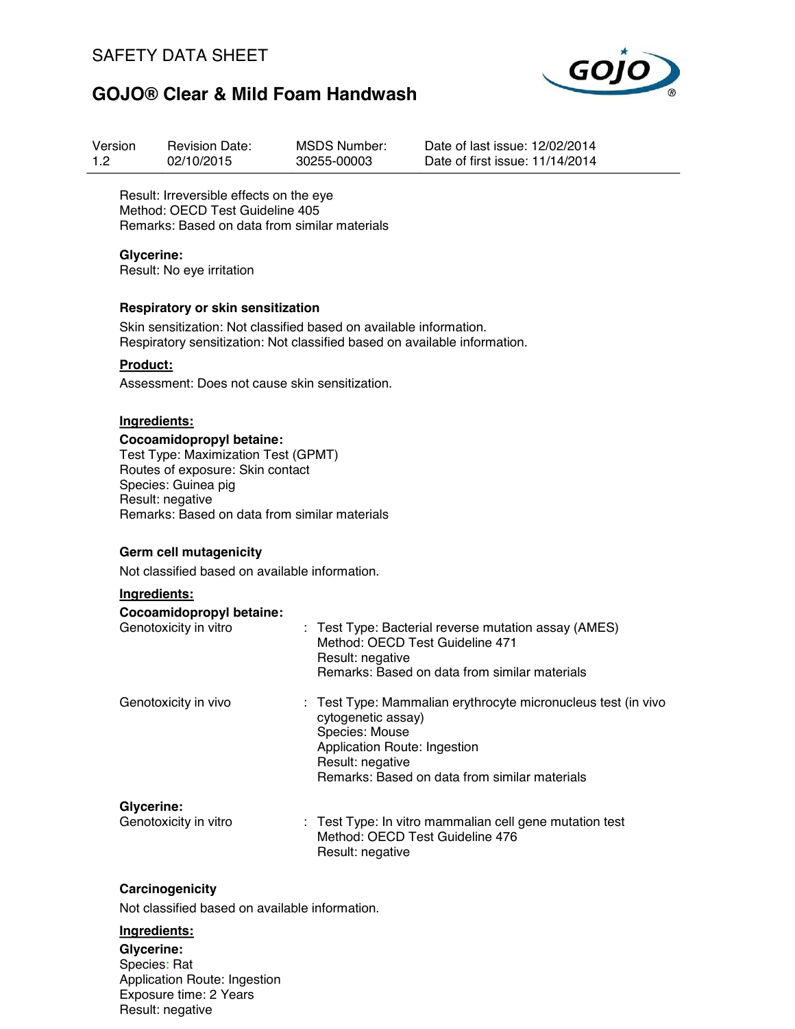

| Version | <b>Revision Date:</b> | <b>MSDS Number:</b> |
|---------|-----------------------|---------------------|
| 1.2     | 02/10/2015            | 30255-00003         |

Date of last issue: 12/02/2014 Date of first issue: 11/14/2014

Result: Irreversible effects on the eye Method: OECD Test Guideline 405 Remarks: Based on data from similar materials

#### **Glycerine:**

Result: No eye irritation

#### **Respiratory or skin sensitization**

Skin sensitization: Not classified based on available information. Respiratory sensitization: Not classified based on available information.

### **Product:**

Assessment: Does not cause skin sensitization.

### **Ingredients:**

#### **Cocoamidopropyl betaine:**

Test Type: Maximization Test (GPMT) Routes of exposure: Skin contact Species: Guinea pig Result: negative Remarks: Based on data from similar materials

#### **Germ cell mutagenicity**

Not classified based on available information.

#### **Ingredients:**

| Cocoamidopropyl betaine: |                                                                                                                                                                                                            |
|--------------------------|------------------------------------------------------------------------------------------------------------------------------------------------------------------------------------------------------------|
| Genotoxicity in vitro    | : Test Type: Bacterial reverse mutation assay (AMES)<br>Method: OECD Test Guideline 471<br>Result: negative<br>Remarks: Based on data from similar materials                                               |
| Genotoxicity in vivo     | : Test Type: Mammalian erythrocyte micronucleus test (in vivo<br>cytogenetic assay)<br>Species: Mouse<br>Application Route: Ingestion<br>Result: negative<br>Remarks: Based on data from similar materials |
| Glycerine:               |                                                                                                                                                                                                            |
| Genotoxicity in vitro    | : Test Type: In vitro mammalian cell gene mutation test<br>Method: OECD Test Guideline 476                                                                                                                 |

Result: negative

#### **Carcinogenicity**

Not classified based on available information.

#### **Ingredients:**

**Glycerine:** Species: Rat Application Route: Ingestion Exposure time: 2 Years Result: negative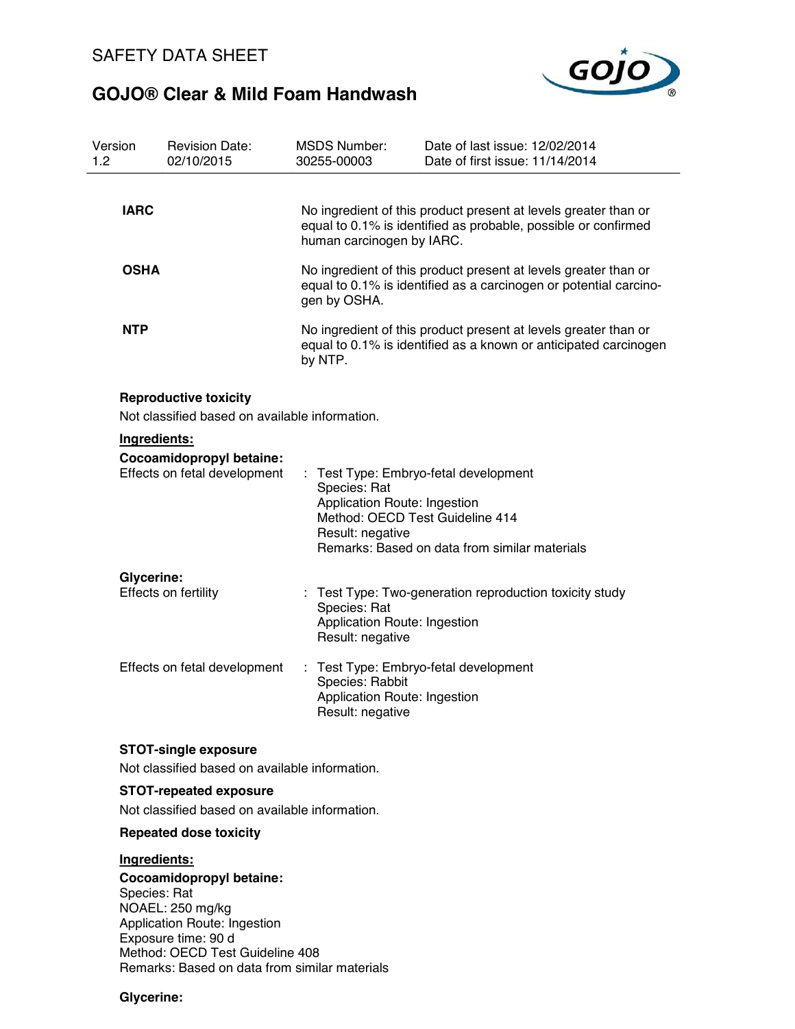

| Version<br>1.2 |                   | <b>Revision Date:</b><br>02/10/2015                                                                                                                                                                     |    | <b>MSDS Number:</b><br>30255-00003                                                                  | Date of last issue: 12/02/2014<br>Date of first issue: 11/14/2014                                                                    |
|----------------|-------------------|---------------------------------------------------------------------------------------------------------------------------------------------------------------------------------------------------------|----|-----------------------------------------------------------------------------------------------------|--------------------------------------------------------------------------------------------------------------------------------------|
|                | <b>IARC</b>       |                                                                                                                                                                                                         |    | human carcinogen by IARC.                                                                           | No ingredient of this product present at levels greater than or<br>equal to 0.1% is identified as probable, possible or confirmed    |
|                | <b>OSHA</b>       |                                                                                                                                                                                                         |    | gen by OSHA.                                                                                        | No ingredient of this product present at levels greater than or<br>equal to 0.1% is identified as a carcinogen or potential carcino- |
|                | <b>NTP</b>        |                                                                                                                                                                                                         |    | by NTP.                                                                                             | No ingredient of this product present at levels greater than or<br>equal to 0.1% is identified as a known or anticipated carcinogen  |
|                |                   | <b>Reproductive toxicity</b><br>Not classified based on available information.                                                                                                                          |    |                                                                                                     |                                                                                                                                      |
|                |                   | Ingredients:                                                                                                                                                                                            |    |                                                                                                     |                                                                                                                                      |
|                |                   | Cocoamidopropyl betaine:<br>Effects on fetal development                                                                                                                                                |    | Species: Rat<br>Application Route: Ingestion<br>Method: OECD Test Guideline 414<br>Result: negative | : Test Type: Embryo-fetal development<br>Remarks: Based on data from similar materials                                               |
|                | <b>Glycerine:</b> | Effects on fertility                                                                                                                                                                                    |    | Species: Rat<br>Application Route: Ingestion<br>Result: negative                                    | Test Type: Two-generation reproduction toxicity study                                                                                |
|                |                   | Effects on fetal development                                                                                                                                                                            | ÷. | Species: Rabbit<br>Application Route: Ingestion<br>Result: negative                                 | Test Type: Embryo-fetal development                                                                                                  |
|                |                   | <b>STOT-single exposure</b>                                                                                                                                                                             |    |                                                                                                     |                                                                                                                                      |
|                |                   | Not classified based on available information.                                                                                                                                                          |    |                                                                                                     |                                                                                                                                      |
|                |                   | <b>STOT-repeated exposure</b>                                                                                                                                                                           |    |                                                                                                     |                                                                                                                                      |
|                |                   | Not classified based on available information.                                                                                                                                                          |    |                                                                                                     |                                                                                                                                      |
|                |                   | <b>Repeated dose toxicity</b>                                                                                                                                                                           |    |                                                                                                     |                                                                                                                                      |
|                |                   | Ingredients:                                                                                                                                                                                            |    |                                                                                                     |                                                                                                                                      |
|                |                   | Cocoamidopropyl betaine:<br>Species: Rat<br>NOAEL: 250 mg/kg<br>Application Route: Ingestion<br>Exposure time: 90 d<br>Method: OECD Test Guideline 408<br>Remarks: Based on data from similar materials |    |                                                                                                     |                                                                                                                                      |

**Glycerine:**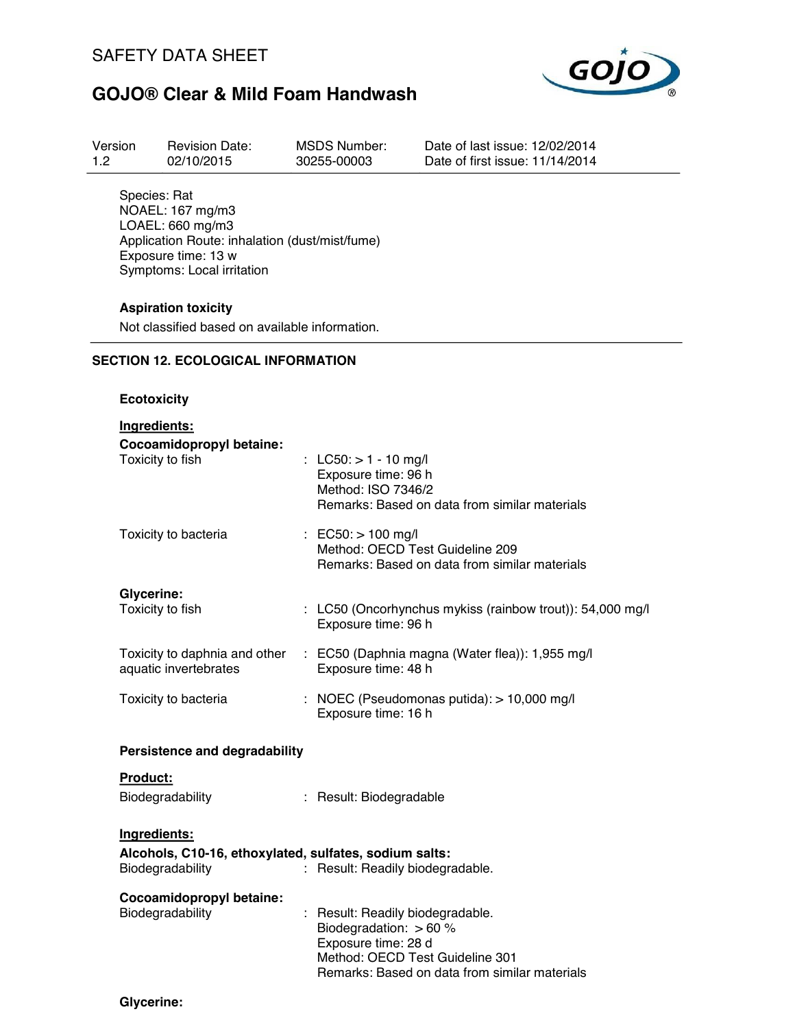

| Version | <b>Revision Date:</b> | MSDS Number: | Date of last issue: 12/02/2014  |
|---------|-----------------------|--------------|---------------------------------|
| 1.2     | 02/10/2015            | 30255-00003  | Date of first issue: 11/14/2014 |
|         |                       |              |                                 |

Species: Rat NOAEL: 167 mg/m3 LOAEL: 660 mg/m3 Application Route: inhalation (dust/mist/fume) Exposure time: 13 w Symptoms: Local irritation

### **Aspiration toxicity**

Not classified based on available information.

### **SECTION 12. ECOLOGICAL INFORMATION**

#### **Ecotoxicity**

| Ingredients:                                                               |                                                                                                                                                                       |
|----------------------------------------------------------------------------|-----------------------------------------------------------------------------------------------------------------------------------------------------------------------|
| Cocoamidopropyl betaine:<br>Toxicity to fish                               | : LC50: $> 1 - 10$ mg/l<br>Exposure time: 96 h<br>Method: ISO 7346/2<br>Remarks: Based on data from similar materials                                                 |
| Toxicity to bacteria                                                       | : EC50: $> 100$ mg/l<br>Method: OECD Test Guideline 209<br>Remarks: Based on data from similar materials                                                              |
| Glycerine:<br>Toxicity to fish                                             | : LC50 (Oncorhynchus mykiss (rainbow trout)): 54,000 mg/l<br>Exposure time: 96 h                                                                                      |
| Toxicity to daphnia and other<br>aquatic invertebrates                     | : EC50 (Daphnia magna (Water flea)): 1,955 mg/l<br>Exposure time: 48 h                                                                                                |
| Toxicity to bacteria                                                       | : NOEC (Pseudomonas putida): $> 10,000$ mg/l<br>Exposure time: 16 h                                                                                                   |
| <b>Persistence and degradability</b>                                       |                                                                                                                                                                       |
| Product:                                                                   |                                                                                                                                                                       |
| Biodegradability                                                           | : Result: Biodegradable                                                                                                                                               |
| Ingredients:                                                               |                                                                                                                                                                       |
| Alcohols, C10-16, ethoxylated, sulfates, sodium salts:<br>Biodegradability | : Result: Readily biodegradable.                                                                                                                                      |
| Cocoamidopropyl betaine:<br>Biodegradability                               | Result: Readily biodegradable.<br>Biodegradation: $> 60$ %<br>Exposure time: 28 d<br>Method: OECD Test Guideline 301<br>Remarks: Based on data from similar materials |

**Glycerine:**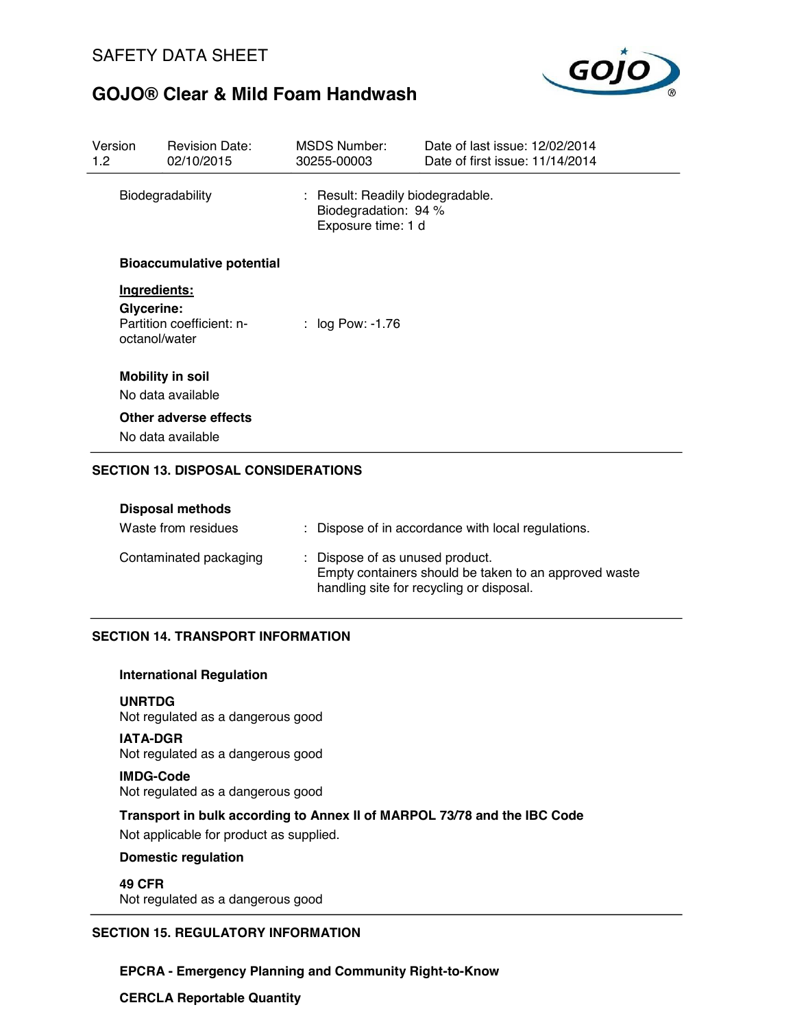

| Version<br>1.2 <sub>1</sub> | <b>Revision Date:</b><br>02/10/2015        | <b>MSDS Number:</b><br>30255-00003                                             | Date of last issue: 12/02/2014<br>Date of first issue: 11/14/2014 |
|-----------------------------|--------------------------------------------|--------------------------------------------------------------------------------|-------------------------------------------------------------------|
|                             | Biodegradability                           | : Result: Readily biodegradable.<br>Biodegradation: 94 %<br>Exposure time: 1 d |                                                                   |
|                             | <b>Bioaccumulative potential</b>           |                                                                                |                                                                   |
|                             | Ingredients:                               |                                                                                |                                                                   |
| Glycerine:                  | Partition coefficient: n-<br>octanol/water | : $log Pow: -1.76$                                                             |                                                                   |
|                             | <b>Mobility in soil</b>                    |                                                                                |                                                                   |
|                             | No data available                          |                                                                                |                                                                   |
|                             | Other adverse effects                      |                                                                                |                                                                   |
|                             | No data available                          |                                                                                |                                                                   |
|                             | <b>SECTION 13. DISPOSAL CONSIDERATIONS</b> |                                                                                |                                                                   |

| <b>Disposal methods</b> |                                                                                                                                      |
|-------------------------|--------------------------------------------------------------------------------------------------------------------------------------|
| Waste from residues     | : Dispose of in accordance with local regulations.                                                                                   |
| Contaminated packaging  | : Dispose of as unused product.<br>Empty containers should be taken to an approved waste<br>handling site for recycling or disposal. |

### **SECTION 14. TRANSPORT INFORMATION**

#### **International Regulation**

**UNRTDG** Not regulated as a dangerous good

**IATA-DGR** Not regulated as a dangerous good

#### **IMDG-Code** Not regulated as a dangerous good

**Transport in bulk according to Annex II of MARPOL 73/78 and the IBC Code**

Not applicable for product as supplied.

### **Domestic regulation**

**49 CFR** Not regulated as a dangerous good

### **SECTION 15. REGULATORY INFORMATION**

**EPCRA - Emergency Planning and Community Right-to-Know**

**CERCLA Reportable Quantity**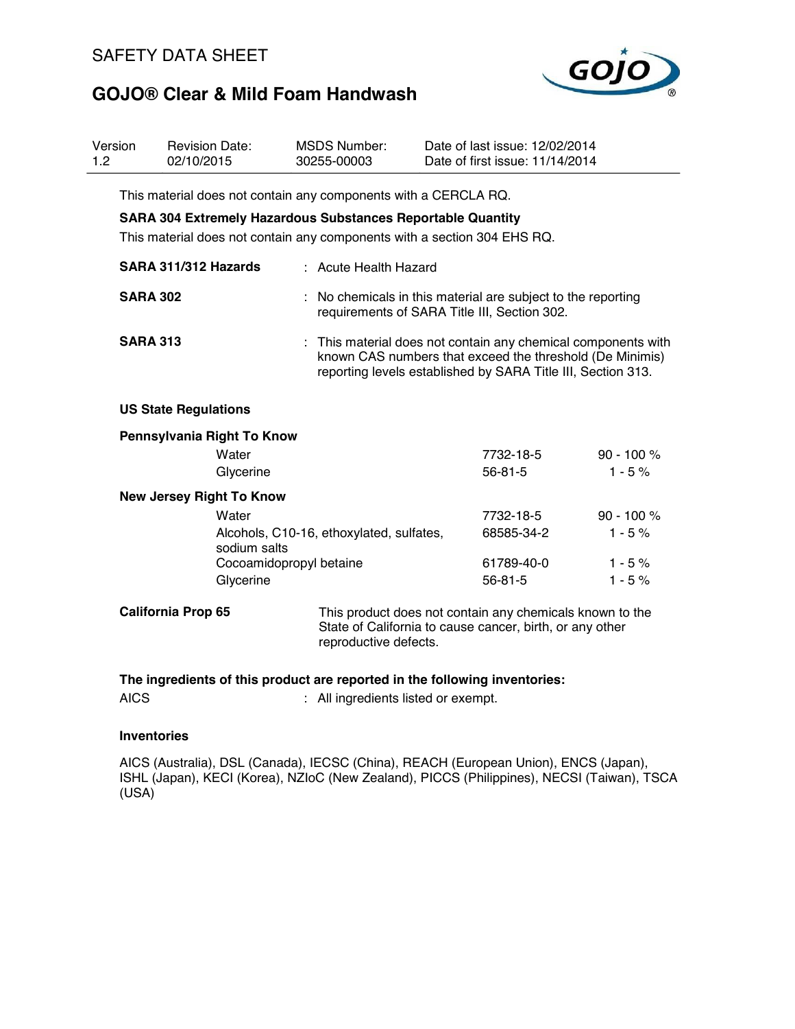### SAFETY DATA SHEET



# **GOJO® Clear & Mild Foam Handwash**

| Version<br>1.2 | <b>Revision Date:</b><br>02/10/2015                                | <b>MSDS Number:</b><br>30255-00003       | Date of last issue: 12/02/2014<br>Date of first issue: 11/14/2014                                                                                                                       |              |
|----------------|--------------------------------------------------------------------|------------------------------------------|-----------------------------------------------------------------------------------------------------------------------------------------------------------------------------------------|--------------|
|                | This material does not contain any components with a CERCLA RQ.    |                                          |                                                                                                                                                                                         |              |
|                | <b>SARA 304 Extremely Hazardous Substances Reportable Quantity</b> |                                          |                                                                                                                                                                                         |              |
|                |                                                                    |                                          | This material does not contain any components with a section 304 EHS RQ.                                                                                                                |              |
|                | SARA 311/312 Hazards                                               | : Acute Health Hazard                    |                                                                                                                                                                                         |              |
|                | <b>SARA 302</b>                                                    |                                          | : No chemicals in this material are subject to the reporting<br>requirements of SARA Title III, Section 302.                                                                            |              |
|                | <b>SARA 313</b>                                                    | ÷                                        | This material does not contain any chemical components with<br>known CAS numbers that exceed the threshold (De Minimis)<br>reporting levels established by SARA Title III, Section 313. |              |
|                | <b>US State Regulations</b>                                        |                                          |                                                                                                                                                                                         |              |
|                | Pennsylvania Right To Know                                         |                                          |                                                                                                                                                                                         |              |
|                | Water                                                              |                                          | 7732-18-5                                                                                                                                                                               | 90 - 100 %   |
|                | Glycerine                                                          |                                          | $56 - 81 - 5$                                                                                                                                                                           | $1 - 5%$     |
|                | <b>New Jersey Right To Know</b>                                    |                                          |                                                                                                                                                                                         |              |
|                | Water                                                              |                                          | 7732-18-5                                                                                                                                                                               | $90 - 100 %$ |
|                | sodium salts                                                       | Alcohols, C10-16, ethoxylated, sulfates, | 68585-34-2                                                                                                                                                                              | $1 - 5%$     |
|                |                                                                    | Cocoamidopropyl betaine                  | 61789-40-0                                                                                                                                                                              | $1 - 5%$     |
|                | Glycerine                                                          |                                          | $56 - 81 - 5$                                                                                                                                                                           | $1 - 5%$     |
|                | <b>California Prop 65</b>                                          | reproductive defects.                    | This product does not contain any chemicals known to the<br>State of California to cause cancer, birth, or any other                                                                    |              |
|                |                                                                    |                                          | The ingredients of this product are reported in the following inventories:                                                                                                              |              |
| <b>AICS</b>    |                                                                    | : All ingredients listed or exempt.      |                                                                                                                                                                                         |              |

### **Inventories**

AICS (Australia), DSL (Canada), IECSC (China), REACH (European Union), ENCS (Japan), ISHL (Japan), KECI (Korea), NZIoC (New Zealand), PICCS (Philippines), NECSI (Taiwan), TSCA (USA)